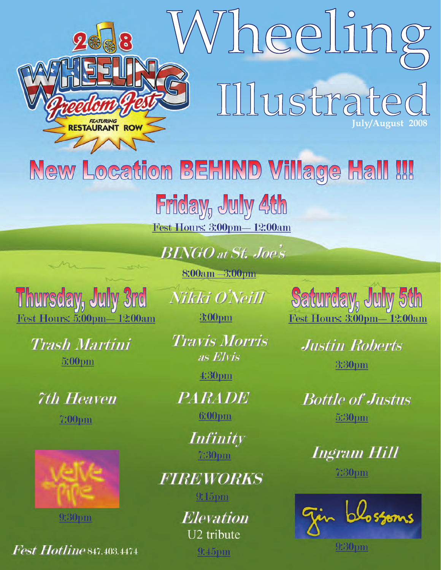

*Fest Hotline* 847.403.4474

 $9:45$ pm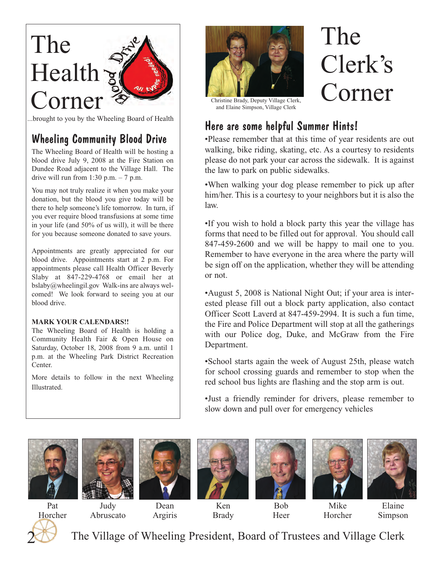# The  $Health \simeq$ Corner<sup>2</sup>

# Wheeling Community Blood Drive

The Wheeling Board of Health will be hosting a blood drive July 9, 2008 at the Fire Station on Dundee Road adjacent to the Village Hall. The drive will run from 1:30 p.m.  $-7$  p.m.

You may not truly realize it when you make your donation, but the blood you give today will be there to help someone's life tomorrow. In turn, if you ever require blood transfusions at some time in your life (and 50% of us will), it will be there for you because someone donated to save yours.

Appointments are greatly appreciated for our blood drive. Appointments start at 2 p.m. For appointments please call Health Officer Beverly Slaby at 847-229-4768 or email her at bslaby@wheelingil.gov Walk-ins are always welcomed! We look forward to seeing you at our blood drive.

### **MARK YOUR CALENDARS!!**

The Wheeling Board of Health is holding a Community Health Fair & Open House on Saturday, October 18, 2008 from 9 a.m. until 1 p.m. at the Wheeling Park District Recreation Center.

More details to follow in the next Wheeling Illustrated.



# The Clerk's Corner

and Elaine Simpson, Village Clerk

# Here are some helpful Summer Hints!

•Please remember that at this time of year residents are out walking, bike riding, skating, etc. As a courtesy to residents please do not park your car across the sidewalk. It is against the law to park on public sidewalks.

•When walking your dog please remember to pick up after him/her. This is a courtesy to your neighbors but it is also the law.

•If you wish to hold a block party this year the village has forms that need to be filled out for approval. You should call 847-459-2600 and we will be happy to mail one to you. Remember to have everyone in the area where the party will be sign off on the application, whether they will be attending or not.

•August 5, 2008 is National Night Out; if your area is interested please fill out a block party application, also contact Officer Scott Laverd at 847-459-2994. It is such a fun time, the Fire and Police Department will stop at all the gatherings with our Police dog, Duke, and McGraw from the Fire Department.

•School starts again the week of August 25th, please watch for school crossing guards and remember to stop when the red school bus lights are flashing and the stop arm is out.

•Just a friendly reminder for drivers, please remember to slow down and pull over for emergency vehicles







Dean



Ken







2 Pat Horcher

Abruscato

Argiris

Brady

Bob Heer

Mike Horcher

Elaine Simpson

The Village of Wheeling President, Board of Trustees and Village Clerk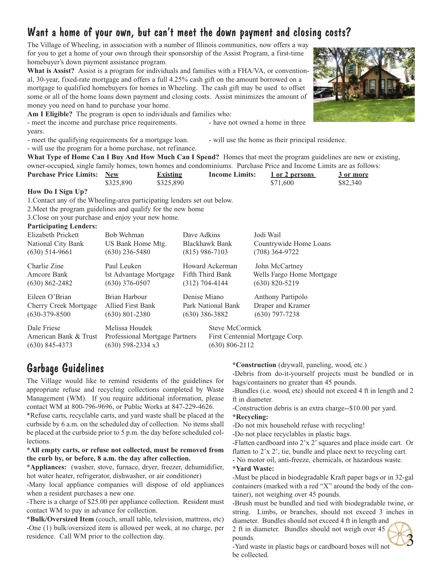# Want a home of your own, but can't meet the down payment and closing costs?

The Village of Wheeling, in association with a number of Illinois communities, now offers a way for you to get a home of your own through their sponsorship of the Assist Program, a first-time homebuyer's down payment assistance program.

**What is Assist?** Assist is a program for individuals and families with a FHA/VA, or conventional, 30-year, fixed-rate mortgage and offers a full 4.25% cash gift on the amount borrowed on a mortgage to qualified homebuyers for homes in Wheeling. The cash gift may be used to offset some or all of the home loans down payment and closing costs. Assist minimizes the amount of money you need on hand to purchase your home.

**Am I Eligible?** The program is open to individuals and families who:

- meet the income and purchase price requirements.  $\qquad \qquad$  - have not owned a home in three years.

- meet the qualifying requirements for a mortgage loan.  $\cdot$  will use the home as their principal residence.

- will use the program for a home purchase, not refinance.

**What Type of Home Can I Buy And How Much Can I Spend?** Homes that meet the program guidelines are new or existing, owner-occupied, single family homes, town homes and condominiums. Purchase Price and Income Limits are as follows:

| <b>Purchase Price Limits: New</b> |           | <b>Existing</b> | <b>Income Limits:</b> | <u>1 or 2 persons</u> | 3 or more |
|-----------------------------------|-----------|-----------------|-----------------------|-----------------------|-----------|
|                                   | \$325,890 | \$325,890       |                       | \$71,600              | \$82,340  |
| TT.<br>$\mathbf{r}$ $\mathbf{r}$  |           |                 |                       |                       |           |

#### **How Do I Sign Up?**

1.Contact any of the Wheeling-area participating lenders set out below.

2.Meet the program guidelines and qualify for the new home

3.Close on your purchase and enjoy your new home.

### **Participating Lenders:**

| Elizabeth Prickett                                       | Bob Wehman                                                              | Dave Adkins                       | Jodi Wail                       |
|----------------------------------------------------------|-------------------------------------------------------------------------|-----------------------------------|---------------------------------|
| National City Bank                                       | US Bank Home Mtg.                                                       | Blackhawk Bank                    | Countrywide Home Loans          |
| $(630)$ 514-9661                                         | $(630)$ 236-5480                                                        | $(815)$ 986-7103                  | $(708)$ 364-9722                |
| Charlie Zine                                             | Paul Leuken                                                             | Howard Ackerman                   | John McCartney                  |
| Amcore Bank                                              | 1st Advantage Mortgage                                                  | Fifth Third Bank                  | Wells Fargo Home Mortgage       |
| $(630)$ 862-2482                                         | $(630)$ 376-0507                                                        | (312) 704-4144                    | $(630)$ 820-5219                |
| Eileen O'Brian                                           | Brian Harbour                                                           | Denise Miano                      | Anthony Partipolo               |
| Cherry Creek Mortgage                                    | Allied First Bank                                                       | Park National Bank                | Draper and Kramer               |
| $(630-379-8500)$                                         | $(630)$ 801-2380                                                        | $(630)$ 386-3882                  | $(630)$ 797-7238                |
| Dale Friese<br>American Bank & Trust<br>$(630)$ 845-4373 | Melissa Houdek<br>Professional Mortgage Partners<br>$(630)$ 598-2334 x3 | Steve McCormick<br>(630) 806-2112 | First Centennial Mortgage Corp. |

## Garbage Guidelines

The Village would like to remind residents of the guidelines for appropriate refuse and recycling collections completed by Waste Management (WM). If you require additional information, please contact WM at 800-796-9696, or Public Works at 847-229-4626.

\*Refuse carts, recyclable carts, and yard waste shall be placed at the curbside by 6 a.m. on the scheduled day of collection. No items shall be placed at the curbside prior to 5 p.m. the day before scheduled collections.

**\*All empty carts, or refuse not collected, must be removed from the curb by, or before, 8 a.m. the day after collection.**

**\*Appliances:** (washer, stove, furnace, dryer, freezer, dehumidifier, hot water heater, refrigerator, dishwasher, or air conditioner)

-Many local appliance companies will dispose of old appliances when a resident purchases a new one.

-There is a charge of \$25.00 per appliance collection. Resident must contact WM to pay in advance for collection.

**\*Bulk/Oversized Item** (couch, small table, television, mattress, etc) -One (1) bulk/oversized item is allowed per week, at no charge, per residence. Call WM prior to the collection day.

**\*Construction** (drywall, paneling, wood, etc.)

-Debris from do-it-yourself projects must be bundled or in bags/containers no greater than 45 pounds.

-Bundles (i.e. wood, etc) should not exceed 4 ft in length and 2 ft in diameter.

-Construction debris is an extra charge--\$10.00 per yard.

### **\*Recycling:**

-Do not mix household refuse with recycling!

-Do not place recyclables in plastic bags.

-Flatten cardboard into 2'x 2' squares and place inside cart. Or flatten to 2'x 2', tie, bundle and place next to recycling cart.

- No motor oil, anti-freeze, chemicals, or hazardous waste.

### **\*Yard Waste:**

-Must be placed in biodegradable Kraft paper bags or in 32-gal containers (marked with a red "X" around the body of the container), not weighing over 45 pounds.

-Brush must be bundled and tied with biodegradable twine, or string. Limbs, or branches, should not exceed 3 inches in diameter. Bundles should not exceed 4 ft in length and

3

2 ft in diameter. Bundles should not weigh over 45 pounds.



-Yard waste in plastic bags or cardboard boxes will not be collected.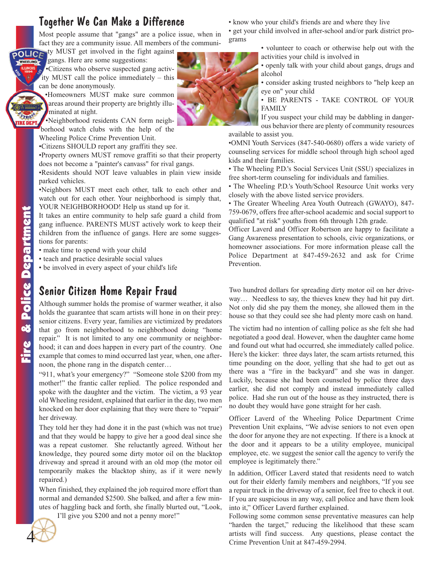### Together We Can Make a Difference

Most people assume that "gangs" are a police issue, when in fact they are a community issue. All members of the communi-

pOLIC<sub>I</sub> ty MUST get involved in the fight against gangs. Here are some suggestions:

WHEELING •Citizens who observe suspected gang activity MUST call the police immediately – this can be done anonymously.

> •Homeowners MUST make sure common areas around their property are brightly illuminated at night.

•Neighborhood residents CAN form neighborhood watch clubs with the help of the Wheeling Police Crime Prevention Unit.

- •Citizens SHOULD report any graffiti they see.
- •Property owners MUST remove graffiti so that their property does not become a "painter's canvass" for rival gangs.

•Residents should NOT leave valuables in plain view inside parked vehicles.

•Neighbors MUST meet each other, talk to each other and watch out for each other. Your neighborhood is simply that, YOUR NEIGHBORHOOD! Help us stand up for it.

It takes an entire community to help safe guard a child from gang influence. PARENTS MUST actively work to keep their children from the influence of gangs. Here are some suggestions for parents:

- make time to spend with your child
- teach and practice desirable social values

• be involved in every aspect of your child's life

## Senior Citizen Home Repair Fraud

Although summer holds the promise of warmer weather, it also holds the guarantee that scam artists will hone in on their prey: senior citizens. Every year, families are victimized by predators that go from neighborhood to neighborhood doing "home repair." It is not limited to any one community or neighborhood; it can and does happen in every part of the country. One example that comes to mind occurred last year, when, one afternoon, the phone rang in the dispatch center…

"911, what's your emergency?" "Someone stole \$200 from my mother!" the frantic caller replied. The police responded and spoke with the daughter and the victim. The victim, a 93 year old Wheeling resident, explained that earlier in the day, two men knocked on her door explaining that they were there to "repair" her driveway.

They told her they had done it in the past (which was not true) and that they would be happy to give her a good deal since she was a repeat customer. She reluctantly agreed. Without her knowledge, they poured some dirty motor oil on the blacktop driveway and spread it around with an old mop (the motor oil temporarily makes the blacktop shiny, as if it were newly repaired.)

When finished, they explained the job required more effort than normal and demanded \$2500. She balked, and after a few minutes of haggling back and forth, she finally blurted out, "Look,

I'll give you \$200 and not a penny more!"

• know who your child's friends are and where they live

• get your child involved in after-school and/or park district programs

> • volunteer to coach or otherwise help out with the activities your child is involved in

• openly talk with your child about gangs, drugs and alcohol

• consider asking trusted neighbors to "help keep an eye on" your child

• BE PARENTS - TAKE CONTROL OF YOUR FAMILY

If you suspect your child may be dabbling in dangerous behavior there are plenty of community resources available to assist you.

•OMNI Youth Services (847-540-0680) offers a wide variety of counseling services for middle school through high school aged kids and their families.

• The Wheeling P.D.'s Social Services Unit (SSU) specializes in free short-term counseling for individuals and families.

• The Wheeling P.D.'s Youth/School Resource Unit works very closely with the above listed service providers.

• The Greater Wheeling Area Youth Outreach (GWAYO), 847- 759-0679, offers free after-school academic and social support to qualified "at risk" youths from 6th through 12th grade.

Officer Laverd and Officer Robertson are happy to facilitate a Gang Awareness presentation to schools, civic organizations, or homeowner associations. For more information please call the Police Department at 847-459-2632 and ask for Crime Prevention.

Two hundred dollars for spreading dirty motor oil on her driveway… Needless to say, the thieves knew they had hit pay dirt. Not only did she pay them the money, she allowed them in the house so that they could see she had plenty more cash on hand.

The victim had no intention of calling police as she felt she had negotiated a good deal. However, when the daughter came home and found out what had occurred, she immediately called police. Here's the kicker: three days later, the scam artists returned, this time pounding on the door, yelling that she had to get out as there was a "fire in the backyard" and she was in danger. Luckily, because she had been counseled by police three days earlier, she did not comply and instead immediately called police. Had she run out of the house as they instructed, there is no doubt they would have gone straight for her cash. Fig. 2013. This is the success of the success of the 4 Crime Prevention and the Section angle of the Eurist Crime Prevention and the Section Crime Prevention Unit at the Higher from the different large the success of plea

Officer Laverd of the Wheeling Police Department Crime Prevention Unit explains, "We advise seniors to not even open the door for anyone they are not expecting. If there is a knock at the door and it appears to be a utility employee, municipal employee, etc. we suggest the senior call the agency to verify the employee is legitimately there."

In addition, Officer Laverd stated that residents need to watch out for their elderly family members and neighbors, "If you see a repair truck in the driveway of a senior, feel free to check it out. If you are suspicious in any way, call police and have them look into it," Officer Laverd further explained.

Following some common sense preventative measures can help "harden the target," reducing the likelihood that these scam



**REDEP** 



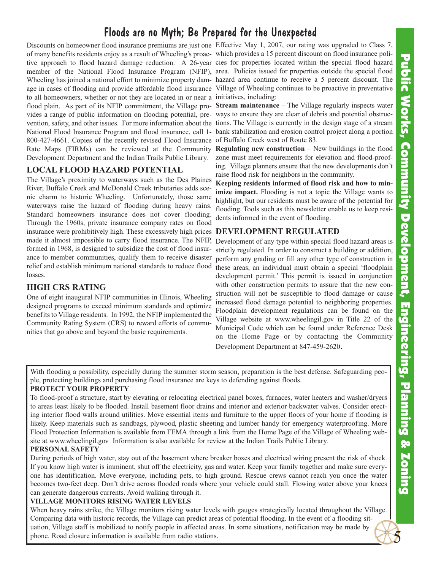5

## Floods are no Myth; Be Prepared for the Unexpected

Discounts on homeowner flood insurance premiums are just one Effective May 1, 2007, our rating was upgraded to Class 7, of many benefits residents enjoy as a result of Wheeling's proac-which provides a 15 percent discount on flood insurance politive approach to flood hazard damage reduction. A 26-year cies for properties located within the special flood hazard member of the National Flood Insurance Program (NFIP), area. Policies issued for properties outside the special flood Wheeling has joined a national effort to minimize property dam-hazard area continue to receive a 5 percent discount. The age in cases of flooding and provide affordable flood insurance Village of Wheeling continues to be proactive in preventative to all homeowners, whether or not they are located in or near a initiatives, including: flood plain. As part of its NFIP commitment, the Village pro-**Stream maintenance** – The Village regularly inspects water vides a range of public information on flooding potential, pre-ways to ensure they are clear of debris and potential obstrucvention, safety, and other issues. For more information about the tions. The Village is currently in the design stage of a stream National Flood Insurance Program and flood insurance, call 1- bank stabilization and erosion control project along a portion 800-427-4661. Copies of the recently revised Flood Insurance Rate Maps (FIRMs) can be reviewed at the Community Development Department and the Indian Trails Public Library.

### **LOCAL FLOOD HAZARD POTENTIAL**

The Village's proximity to waterways such as the Des Plaines River, Buffalo Creek and McDonald Creek tributaries adds scenic charm to historic Wheeling. Unfortunately, those same waterways raise the hazard of flooding during heavy rains. Standard homeowners insurance does not cover flooding. Through the 1960s, private insurance company rates on flood insurance were prohibitively high. These excessively high prices **DEVELOPMENT REGULATED** made it almost impossible to carry flood insurance. The NFIP, formed in 1968, is designed to subsidize the cost of flood insurance to member communities, qualify them to receive disaster relief and establish minimum national standards to reduce flood losses.

### **HIGH CRS RATING**

One of eight inaugural NFIP communities in Illinois, Wheeling designed programs to exceed minimum standards and optimize benefits to Village residents. In 1992, the NFIP implemented the Community Rating System (CRS) to reward efforts of communities that go above and beyond the basic requirements.

of Buffalo Creek west of Route 83.

**Regulating new construction** – New buildings in the flood zone must meet requirements for elevation and flood-proofing. Village planners ensure that the new developments don't raise flood risk for neighbors in the community.

**Keeping residents informed of flood risk and how to minimize impact.** Flooding is not a topic the Village wants to highlight, but our residents must be aware of the potential for flooding. Tools such as this newsletter enable us to keep residents informed in the event of flooding.

Development of any type within special flood hazard areas is strictly regulated. In order to construct a building or addition, perform any grading or fill any other type of construction in these areas, an individual must obtain a special 'floodplain development permit.' This permit is issued in conjunction with other construction permits to assure that the new construction will not be susceptible to flood damage or cause increased flood damage potential to neighboring properties. Floodplain development regulations can be found on the Village website at www.wheelingil.gov in Title 22 of the Municipal Code which can be found under Reference Desk on the Home Page or by contacting the Community Development Department at 847-459-2620.

With flooding a possibility, especially during the summer storm season, preparation is the best defense. Safeguarding people, protecting buildings and purchasing flood insurance are keys to defending against floods.

### **PROTECT YOUR PROPERTY**

To flood-proof a structure, start by elevating or relocating electrical panel boxes, furnaces, water heaters and washer/dryers to areas least likely to be flooded. Install basement floor drains and interior and exterior backwater valves. Consider erecting interior flood walls around utilities. Move essential items and furniture to the upper floors of your home if flooding is likely. Keep materials such as sandbags, plywood, plastic sheeting and lumber handy for emergency waterproofing. More Flood Protection Information is available from FEMA through a link from the Home Page of the Village of Wheeling website at www.wheelingil.gov Information is also available for review at the Indian Trails Public Library.

### **PERSONAL SAFETY**

During periods of high water, stay out of the basement where breaker boxes and electrical wiring present the risk of shock. If you know high water is imminent, shut off the electricity, gas and water. Keep your family together and make sure everyone has identification. Move everyone, including pets, to high ground. Rescue crews cannot reach you once the water becomes two-feet deep. Don't drive across flooded roads where your vehicle could stall. Flowing water above your knees can generate dangerous currents. Avoid walking through it.

#### **VILLAGE MONITORS RISING WATER LEVELS**

When heavy rains strike, the Village monitors rising water levels with gauges strategically located throughout the Village. Comparing data with historic records, the Village can predict areas of potential flooding. In the event of a flooding situation, Village staff is mobilized to notify people in affected areas. In some situations, notification may be made by phone. Road closure information is available from radio stations.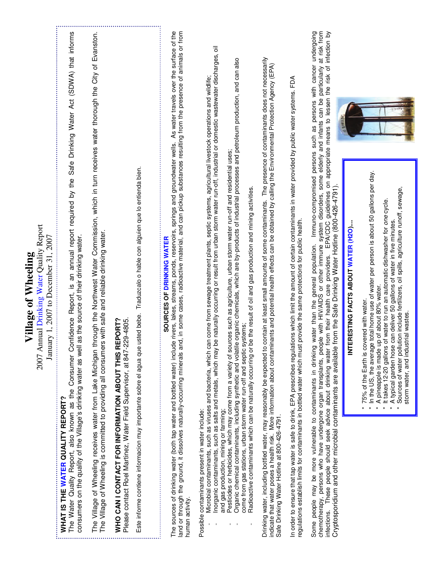|                                                                                                          | Safe Drinking Water Act (SDWA) that informs                                                                                                                                                                                                                        |                                                                                                                                                                                                                                                                            |                                                                                                                                   |                                                                                                                                     | As water travels over the surface of the                                                                                                                                                                                                                                                                                                                                                      |                                                                                                                                                                                                                                                                                                                                                                                                                                                      |                                                                                                                                                                                                                                                                                                                                                                                                                                                                                                                                  |                                                                                                                                                                                                                                                                                                                                                                                                                 |                                                                                                                                                                                                                                                                                                          | at risk from<br>Immuno-compromised persons such as persons with cancer undergoing<br>infection by<br>guidelines on appropriate means to lessen the risk of                                                                                                                                                                                                                                                                                                                      |                                      |                                                                                                                                                                                                                                                                                                                                                                                                                                                                              |
|----------------------------------------------------------------------------------------------------------|--------------------------------------------------------------------------------------------------------------------------------------------------------------------------------------------------------------------------------------------------------------------|----------------------------------------------------------------------------------------------------------------------------------------------------------------------------------------------------------------------------------------------------------------------------|-----------------------------------------------------------------------------------------------------------------------------------|-------------------------------------------------------------------------------------------------------------------------------------|-----------------------------------------------------------------------------------------------------------------------------------------------------------------------------------------------------------------------------------------------------------------------------------------------------------------------------------------------------------------------------------------------|------------------------------------------------------------------------------------------------------------------------------------------------------------------------------------------------------------------------------------------------------------------------------------------------------------------------------------------------------------------------------------------------------------------------------------------------------|----------------------------------------------------------------------------------------------------------------------------------------------------------------------------------------------------------------------------------------------------------------------------------------------------------------------------------------------------------------------------------------------------------------------------------------------------------------------------------------------------------------------------------|-----------------------------------------------------------------------------------------------------------------------------------------------------------------------------------------------------------------------------------------------------------------------------------------------------------------------------------------------------------------------------------------------------------------|----------------------------------------------------------------------------------------------------------------------------------------------------------------------------------------------------------------------------------------------------------------------------------------------------------|---------------------------------------------------------------------------------------------------------------------------------------------------------------------------------------------------------------------------------------------------------------------------------------------------------------------------------------------------------------------------------------------------------------------------------------------------------------------------------|--------------------------------------|------------------------------------------------------------------------------------------------------------------------------------------------------------------------------------------------------------------------------------------------------------------------------------------------------------------------------------------------------------------------------------------------------------------------------------------------------------------------------|
| 2007 Annual Drinking Water Quality Report<br>January 1, 2007 to December 31, 2007<br>Village of Wheeling | The Water Quality Report, also known as the Consumer Confidence Report, is an annual report required by the<br>consumers on the quality of the Village's drinking water as well as the source of their drinking water.<br><b>WHAT IS THE WATER QUALITY REPORT?</b> | through the Northwest Water Commission, which in turn receives water thorough the City of Evanston.<br>The Village of Wheeling is committed to providing all consumers with safe and reliable drinking water.<br>The Village of Wheeling receives water from Lake Michigan | REPORT?<br>Please contact Roel Martinez, Water Field Supervisor, at 847-229-4805.<br>WHO CAN I CONTACT FOR INFORMATION ABOUT THIS | Este informe contiene informacion muy importante sobre el agua que usted bebe. Traduzcalo o hable con alguien que lo entienda bien. | and or through the ground, it dissolves naturally-occurring minerals and, in some cases, radioactive material, and can pickup substances resulting from the presence of animals or from<br>The sources of drinking water (both tap water and bottled water) include rivers, lakes, streams, ponds, reservoirs, springs and groundwater wells.<br>SOURCES OF DRINKING WATER<br>human activity. | be naturally occurring or result from urban storm water run-off, industrial or domestic wastewater discharges, oil<br>Microbial contaminants, such as viruses and bacteria, which can come from sewage treatment plants, septic systems, agricultural livestock operations and wildlife;<br>Inorganic contaminants, such as salts and metals, which may<br>and gas production, mining or farming;<br>Possible contaminants present in water include: | Organic chemical contaminants, including synthetic and volatile organic chemicals, which are by-products of industrial processes and petroleum production, and can also<br>Pesticides or herbicides, which may come from a variety of sources such as agriculture, urban storm water run-off and residential uses;<br>be the result of oil and gas production and mining activities.<br>systems:<br>come from gas stations, urban storm water run-off and septic<br>Radioactive contaminants which can be naturally occurring or | Drinking water, including bottled water, may reasonably be expected to contain at least small amounts of some contaminants. The presence of contaminants does not necessarily<br>indicate that water poses a health risk. More information about contaminants and potential health effects can be obtained by calling the Environmental Protection Agency (EPA)<br>Safe Drinking Water Hotline at 800-426-4791. | In order to ensure that tap water is safe to drink, EPA prescribes regulations which limit the amount of certain contaminants in water provided by public water systems. FDA<br>egulations establish limits for contaminants in bottled water which must provide the same protections for public health. | Some people may be more vulnerable to contaminants in drinking water than the general population. Immuno-compromised persons such as persons with cancer<br>chemotherapy, persons who have undergone organ transplants, people wi<br>Cryptosporidium and other microbial contaminants are available from the Safe Drinking Water Hotline (800-426-4791).<br>EPA/CDC<br>from their health care providers.<br>These people should seek advice about drinking water<br>infections. | INTERESTING FACTS ABOUT WATER (H2O). | In the US, the average total home use of water per person is about 50 gallons per day.<br>Sources of water pollution include fertilizers, oil spills, agriculture runoff, sewage,<br>It takes 12-20 gallons of water to run an automatic dishwasher for one cycle.<br>A typical garden hose can deliver 50 gallons of water in five minutes.<br>A pineapple is made up of about 80% water.<br>75% of the Earth is covered with water.<br>storm water, and industrial wastes. |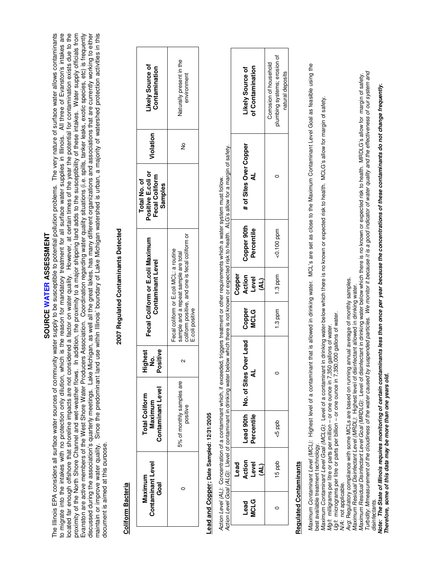# SOURCE WATER ASSESSMENT **SOURCE WATER ASSESSMENT**

located far enough offshore that shoreline impacts are not considered a factor on water quality. However, at certain times of the year the potential for contamination exists due to the proximity of the North Shore Channel and wet-weather flows. In addition, the proximity to a major shipping land adds to the susceptibility of these intakes. Water supply officials from The Illinois EPA considers all surface water sources of community water supply to be susceptible to potential pollution problems. The very nature of surface water allows contaminants The Illinois EPA considers all surface water sources of community water supply to be susceptible to potential pollution problems. The very nature of surface water allows contaminants to migrate into the intakes with no protection only dilution, which is the reason for mandatory treatment for all surface water supplies in Illinois. All three of Evanston's intakes are Evanston are active members of the West Shore Water Producers Association. Coordination regarding water quality situations (i.e. spills, tanker leaks, exotic species, etc) is frequently Evanston are active members of the West Shore Water Producers Association. Coordination regarding water quality situations (i.e. spills, tanker leaks, exotic species, etc) is frequently discussed during the association's quarterly meetings. Lake Michigan, as well all the great lakes, has many different organizations and associations that are currently working to either discussed during the association's quarterly meetings. Lake Michigan, as well all the great lakes, has many different organizations and associations that are currently working to either maintain or improve water quality. Since the predominant land use within Illinois' boundary of Lake Michigan watershed is urban, a majority of watershed protection activities in this maintain or improve water quality. Since the predominant land use within Illinois' boundary of Lake Michigan watershed is urban, a majority of watershed protection activities in this to migrate into the intakes with no protection only dilution, which is the reason for mandatory treatment for all surface water supplies in Illinois. All three of Evanston's intakes are located far enough offshore that shoreline impacts are not considered a factor on water quality. However, at certain times of the year the potential for contamination exists due to the proximity of the North Shore Channel and wet-weather flows. In addition, the proximity to a major shipping land adds to the susceptibility of these intakes. Water supply officials from document is aimed at this purpose. document is aimed at this purpose.

# **Coliform Bacteria Coliform Bacteria**

# 2007 Regulated Contaminants Detected **2007 Regulated Contaminants Detected**

| <b>Ikely Source of</b><br>Contamination                                | Naturally present in the<br>environment                                                                                                               |
|------------------------------------------------------------------------|-------------------------------------------------------------------------------------------------------------------------------------------------------|
| Violation                                                              | ş                                                                                                                                                     |
| Positive E.coli or<br>Fecal Coliform<br>Total No. of<br><b>Samples</b> |                                                                                                                                                       |
| Fecal Coliform or E.coli Maximum<br><b>Contaminant Level</b>           | coliform positive, and one is fecal coliform or<br>Fecal coliform or E.coli MCL: a routine<br>sample and a repeat sample are total<br>E.coli positive |
| ositive<br>ighest<br>ġ                                                 |                                                                                                                                                       |
| Contaminant Level<br><b>otal Coliform</b><br>Maximum                   | 5% of monthly samples are<br>positive                                                                                                                 |
| Contaminant Level<br>Maximum<br>Goal                                   |                                                                                                                                                       |

# Lead and Copper; Date Sampled: 12/31/2005 **Lead and Copper; Date Sampled: 12/31/2005**

Action Level Goal (ALG): Llevel of contaminant in drinking water below which there is not known or expected risk to health. ALG's allow for a margin of safety. Action Level Goal (ALG): Llevel of contaminant in drinking water below which there is not known or expected risk to health. ALG's allow for a margin of safety. Action Level (AL): Concentration of a contaminant which, if exceeded, triggers treatment or other requirements which a water system must follow. Action Level (AL): Concentration of a contaminant which, if exceeded, triggers treatment or other requirements which a water system must follow.

| dumbing systems; erosion of<br>Corrosion of household |
|-------------------------------------------------------|
|                                                       |
| $< 0.100$ ppm                                         |
| $1.3$ ppm                                             |
| 1.3 ppm                                               |
|                                                       |
| 5p                                                    |
| dad g                                                 |
|                                                       |
|                                                       |

# **Regulated Contaminants Regulated Contaminants**

Maximum Contaminant Level (MCL): Highest level of a contaminant that is allowed in drinking water. MCL's are set as close to the Maximum Contaminant Level Goal as feasible using the Maximum Contaminant Level (MCL): Highest level of a contaminant that is allowed in drinking water. MCL's are set as close to the Maximum Contaminant Level Goal as feasible using the best available treatment technology. best available treatment technology

natural deposits

natural deposits

> Maximum Contaminant Level Goal (MCLG): Level of a contaminant in drinking water below which there is no known or expected risk to health. MCLG's allow for margin of safety. Maximum Contaminant Level Goal (MCLG): Level of a contaminant in drinking water below which there is no known or expected risk to health. MCLG's allow for margin of safety.

Mg/t: milligrams per litre or parts per million - or one ounce in 7,350 gallons of water Mg/l: milligrams per litre or parts per million – or one ounce in 7,350 gallons of water.

Ug/t micrograms per litre or parts per billion - or one ounce in 7,350,000 gallons of water. Ug/l: micrograms per litre or parts per billion – or one ounce in 7,350,000 gallons of water.

N/A: not applicable. N/A: not applicable.

Avg: Regulatory compliance with some MCLs are based on running annual average of monthly samples. Avg: Regulatory compliance with some MCLs are based on running annual average of monthly samples.

Maximum Residual Disinfectant Level (MRDL): Highest level of disinfectant allowed in drinking water.

Turbidity. Mmeasurement of the cloudiness of the water caused by suspended particles. We monitor it because it is a good indicator of water quality and the effectiveness of our system and Turbidity: Mmeasurement of the cloudiness of the water caused by suspended particles. We monitor it because it is a good indicator of water quality and the effectiveness of our system and Maximum Residual Disinfectant Level (MRDL): Highest level of disinfectant allowed in drinking water.<br>Maximum Residual Disinfectant Level Goal (MRDLG): Level of disinfectant in drinking water below which there is no known o Maximum Residual Disinfectant Level Goal (MRDLG): Level of disinfectant in drinking water below which there is no known or expected risk to health. MRDLG's allow for margin of safety. disinfectants. disinfectants.

Note: The State of Illinois requires monitoring of certain contaminants less than once per year because the concentrations of these contaminants do not change frequently. Note: The State of Illinois requires monitoring of certain contaminants less than once per year because the concentrations of these contaminants do not change frequently. Therefore, some of this data may be more than one years old. **Therefore, some of this data may be more than one years old.**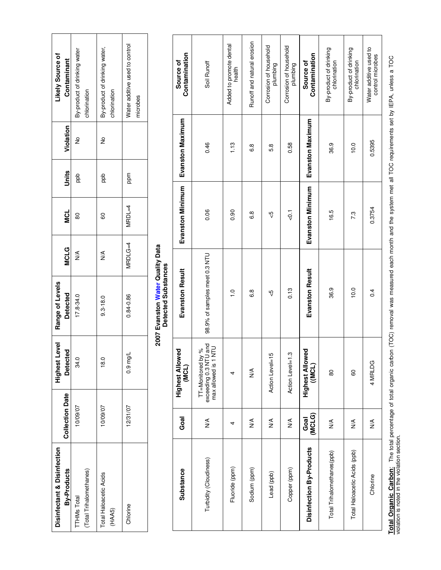| ikely Source of<br>Contaminant                | By-product of drinking water<br>chlorination | By-product of drinking water,<br>chlorination | Nater additive used to control<br>microbes |
|-----------------------------------------------|----------------------------------------------|-----------------------------------------------|--------------------------------------------|
| Violation                                     | ž                                            | ž                                             |                                            |
| Units                                         | add<br>B                                     | add<br>B                                      | ppm                                        |
| ี<br>≥ี                                       | 80                                           | 8                                             | MRDL=4                                     |
| <b>MCLG</b>                                   | ≸                                            | $\frac{8}{2}$                                 | MRDLG=4                                    |
| Range of Levels<br><b>Detected</b>            | $17.8 - 34.0$                                | $9.3 - 18.0$                                  | 0.84-0.86                                  |
| Level<br><u>ଟ</u><br><b>Detect</b><br>Highest | 34.0                                         | $\frac{0}{8}$                                 | $0.9 \text{ mg/L}$                         |
| <b>Collection Date</b>                        | 10/09/07                                     | 10/09/07                                      | 12/31/07                                   |
| Disinfectant & Disinfection<br>By-Products    | Total Trihalomethanes)<br><b>TTHMs Total</b> | Total Haloacetic Acids<br>(HAA5)              | Chlorine                                   |

# 2007 Evanston Water Quality Data<br>Detected Substances **2007 Evanston Water Quality Data Detected Substances**

| Contamination<br>Source of           | Soil Runoff                                                                                                | Added to promote dental<br>health | Runoff and natural erosion | Corrosion of household<br>plumbing | Corrosion of household<br>plumbing | Contamination<br>Source of           | By-product of drinking<br>chlorination | By-product of drinking<br>chlorination | Water additive used to<br>control microbes |
|--------------------------------------|------------------------------------------------------------------------------------------------------------|-----------------------------------|----------------------------|------------------------------------|------------------------------------|--------------------------------------|----------------------------------------|----------------------------------------|--------------------------------------------|
| Evanston Maximum                     | 0.46                                                                                                       | 1.13                              | 6.8                        | 5.8                                | 0.58                               | Evanston Maximum                     | 36.9                                   | 10.0                                   | 0.5395                                     |
| Evanston Minimum                     | 0.06                                                                                                       | 0.90                              | 6.8                        | မှာ                                | $\overline{Q}$                     | Evanston Minimum                     | 16.5                                   | 7.3                                    | 0.3754                                     |
| <b>Evanston Result</b>               | 98.9% of samples meet 0.3 NTU                                                                              | $\frac{0}{1}$                     | 6.8                        | မှာ                                | 0.13                               | <b>Evanston Result</b>               | 36.9                                   | 10.0                                   | 0.4                                        |
| wed<br><b>Highest Alloy</b><br>(MCL) | TT=Monitored by %<br>>xceeding 0.3 NTU and<br>max allowed is 1 NTU<br>exceeding 0.3 NT<br>max allowed is 1 | 4                                 | ⋚                          | Action Level=15                    | Action Level=1.3                   | wed<br><b>Highest Alloy</b><br>(MCL) | 80                                     | 80                                     | 4 MRLDG                                    |
| Goal                                 | ≸                                                                                                          | 4                                 | ⋚                          | ≸                                  | ≸                                  | (MCLG)<br>Goal                       | $\frac{1}{2}$                          | $\frac{1}{2}$                          | ⋚                                          |
| Substance                            | Turbidity (Cloudiness)                                                                                     | Fluoride (ppm)                    | Sodium (ppm)               | Lead (ppb)                         | Copper (ppm)                       | Disinfection By-Products             | Total Trihalomethanes(ppb)             | Total Haloacetic Acids (ppb)           | Chlorine                                   |

Total Organic Carbon: The total percentage of total organic carbon (TOC) removal was measured each month and the system met all TOC requirements set by IEPA, unless a TOC<br>violation is noted in the violation section. **Total Organic Carbon**: The total percentage of total organic carbon (TOC) removal was measured each month and the system met all TOC requirements set by IEPA, unless a TOC violation is noted in the violation section.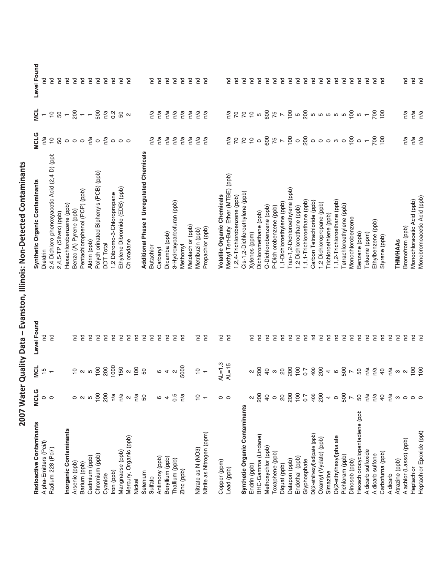| I          |
|------------|
|            |
|            |
| )<br>1     |
|            |
|            |
|            |
|            |
|            |
|            |
|            |
|            |
|            |
|            |
|            |
|            |
|            |
|            |
|            |
|            |
| )<br>)<br> |
|            |

| Radioactive Contaminants       | <b>MCLG</b>         | <b>NCL</b>                                                                                                                                  | Level Found    | Synthetic Organic Contaminants               | <b>MCLG</b>                    | <b>NCL</b>               | Level Found    |
|--------------------------------|---------------------|---------------------------------------------------------------------------------------------------------------------------------------------|----------------|----------------------------------------------|--------------------------------|--------------------------|----------------|
| Alpha-Emitters (Pci/I)         | $\circ$ $\circ$     | $\frac{10}{2}$                                                                                                                              | 5              | Dieldrin                                     | n/a                            | $\overline{\phantom{a}}$ | 5              |
| Radium-228 (Pci/l)             |                     | $\overline{\phantom{0}}$                                                                                                                    | P              | 2,4-Dichloro-phenoxyacetic Acid (2,4-D) (ppt | $\overset{\circ}{\mathcal{L}}$ |                          | P              |
|                                |                     |                                                                                                                                             |                | 2,4,5-TP (Silvex) (ppb)                      | 8000808000                     | $28 - 8 - 8$ $23$        | P              |
| Inorganic Contaminants         |                     |                                                                                                                                             |                | Hexachlorobenzene (ppb)                      |                                |                          | P              |
| Arsenic (ppb)                  |                     |                                                                                                                                             | P              | Benzo (A) Pyrene (ppb)                       |                                |                          | P              |
| Barium (ppb)                   | $\circ \circ \circ$ |                                                                                                                                             | P              | Pentachlorophenol (PCP) (ppb)                |                                |                          | P              |
| Cadmium (ppb)                  |                     |                                                                                                                                             | $\overline{E}$ | Aldrin (ppb)                                 |                                |                          | P              |
| Chromium (ppb)                 | 100                 |                                                                                                                                             | P              | Polychlorinated Biphenyls (PCB) (ppb)        |                                |                          | Ξ.             |
| Cyanide                        | 200                 |                                                                                                                                             | E              | <b>DDT</b> Total                             |                                |                          | Ξ              |
| Iron (ppb)                     | n/a                 |                                                                                                                                             | P              | 1,2 Dibromo-3-Chloropropane                  |                                |                          | Ξ.             |
| Mangnaese (ppb)                | n/a                 |                                                                                                                                             | P              | Ethylene Dibromide (EDB) (ppb)               |                                |                          | Ξ.             |
| Mercury, Organic (ppb)         | $\sim$              |                                                                                                                                             | P <sub>C</sub> | Chloradane                                   |                                |                          | P <sub>C</sub> |
| Nickel                         | n/a                 |                                                                                                                                             | P              |                                              |                                |                          |                |
| Selenium                       | 50                  |                                                                                                                                             | P              | Additional Phase II Unregulated Chemicals    |                                |                          |                |
| Sulfate                        |                     |                                                                                                                                             | P              | <b>Butachlor</b>                             | n/a                            | n/a                      | P              |
|                                |                     |                                                                                                                                             |                |                                              |                                |                          | Ξ,             |
| Antimony (ppb)                 | $\circ$ 4           |                                                                                                                                             | P              | Carbaryl                                     | n/a                            | n/a                      |                |
| Beryllium (ppb)                |                     |                                                                                                                                             | P              | Dicamba (ppb)                                | n/a                            | n/a                      | P              |
| Thallium (ppb)                 | 0.5                 |                                                                                                                                             | P              | 3-Hydroxycarbofuran (ppb)                    | n/a                            | n/a                      | Ξ              |
| Zinc (ppb)                     | n/a                 |                                                                                                                                             | P              | Methomyl                                     | n/a                            | n/a                      | P              |
|                                |                     |                                                                                                                                             |                | Metolachlor (ppb)                            | n/a                            | n/a                      | P              |
| Nitrate as N (NO3)             | $\frac{1}{1}$       | $\approx$ -                                                                                                                                 | P              | Metribuzin (ppb)                             | n/a                            | n/a                      | P              |
| Nitrite as Nitrogen (ppm)      |                     |                                                                                                                                             | P              | Propachlor (ppb)                             | n/a                            | n/a                      | P              |
| Copper (ppm)                   | 0                   | $AL=1.3$                                                                                                                                    | P              | Volatile Organic Chemicals                   |                                |                          |                |
| Lead (ppb)                     | $\circ$             | $AL=15$                                                                                                                                     | P              | Methyl Tert-Butyl Ether (MTBE) (ppb)         |                                |                          | 짇              |
|                                |                     |                                                                                                                                             |                | 1,2,4-Trichlorobenzene (ppb)                 |                                |                          |                |
|                                |                     |                                                                                                                                             |                |                                              |                                |                          | S              |
| Synthetic Organic Contaminants |                     |                                                                                                                                             |                | Cis-1,2-Dichloroethylene (ppb)               |                                |                          | S              |
| Endrin (ppb)                   | 2                   | $\frac{2}{20}$                                                                                                                              | P              | Xylenes (ppm)                                |                                |                          | S              |
| BHC-Gamma (Lindane)            | 200                 |                                                                                                                                             | 2              | Dichloromethane (ppb)                        |                                |                          | S              |
| Methoxychlor (ppb)             | $\overline{40}$     |                                                                                                                                             | 5              | O-Dichlorobenzene (ppb)                      |                                |                          | S              |
| Toxaphene (ppb)                | $\circ$             |                                                                                                                                             | P              | P-Dichlorobenzene (ppb)                      |                                |                          | S              |
| Diquat (ppb)                   | $\rm _{\rm 2}$      |                                                                                                                                             | $\overline{E}$ | 1,1-Dichloroethylene (ppb)                   |                                |                          | Ξ.             |
| Dalapon (ppb)                  |                     |                                                                                                                                             | $\overline{5}$ | Tran-1,2-Dichloroethylene (ppb)              |                                |                          | P              |
| Endothall (ppb)                |                     |                                                                                                                                             | $\overline{E}$ | 1,2-Dichloroethane (ppb)                     |                                |                          | g              |
| Glyphosphate                   |                     |                                                                                                                                             | $\overline{E}$ | 1,1,1-Trichloroethane (ppb)                  |                                |                          | P              |
| Di(2-ethlhexyl)adipate (ppb)   |                     |                                                                                                                                             | $\overline{E}$ | Carbon Tetrachloride (ppb)                   |                                |                          | Ξ              |
| Oxamyl (Vydate) (ppb)          | 882288              | $9 - 8$ $8 - 5$ $9 - 5$ $9 - 5$ $1 - 5$ $1 - 5$                                                                                             | P              | 1,2-Dichloropropane (ppb)                    | $\frac{5}{6}$                  | $\frac{5}{6}$            | $\overline{e}$ |
| Simazine                       |                     |                                                                                                                                             | P              | Trichloroethlene (ppb)                       |                                |                          | Ξ              |
| Di(2-ethylhexyl)phalate        | $4000$ $\sim$       |                                                                                                                                             | $\overline{E}$ | 1,1,2-Trichloroethane (ppb)                  |                                |                          | 2              |
| Pichloram (ppb)                |                     |                                                                                                                                             | P              | Tetrachloroethylene (ppb)                    |                                |                          | S              |
| Dinoseb (ppb)                  |                     |                                                                                                                                             | P              | Monochlorobenzene                            |                                |                          | P              |
| Hexachlorocyclopentadiene (ppt | 50                  |                                                                                                                                             | P              | Benzene (ppb)                                |                                |                          | P              |
| Aldicarb sulfoxide             | n/a                 |                                                                                                                                             | P              | Toluene (ppm)                                |                                |                          | P              |
| Aldicarb sulfone               | n/a                 |                                                                                                                                             | PO             | Ethylbenzene (ppb)                           |                                |                          | 2              |
| Carbofurna (ppb)               | $\overline{40}$     |                                                                                                                                             | P              | Styrene (ppb)                                |                                |                          | P              |
| Aldicarb                       | n/a                 |                                                                                                                                             | P              |                                              |                                |                          |                |
| Atrazine (ppb)                 | ო                   |                                                                                                                                             | P              | <b>THM/HAAs</b>                              |                                |                          |                |
| Alachlor (Lasso) (ppb)         | $\circ$             |                                                                                                                                             | PC             | Bromofrom (ppb)                              | n/a                            | n/a                      | PQ             |
| Heptachlor                     | $\circ$ $\circ$     | $\frac{1}{2}$ $\frac{1}{2}$ $\frac{1}{2}$ $\frac{1}{2}$ $\frac{1}{2}$ $\frac{1}{2}$ $\frac{1}{2}$ $\frac{1}{2}$ $\frac{1}{2}$ $\frac{1}{2}$ |                | Monochloracetic Acid (ppb)                   | n/a                            |                          | e<br>P         |
| Heptachlor Epoxide (ppt)       |                     |                                                                                                                                             | e<br>P         | Monobromoacetic Acid (ppb)                   | n/a                            | na<br>na                 |                |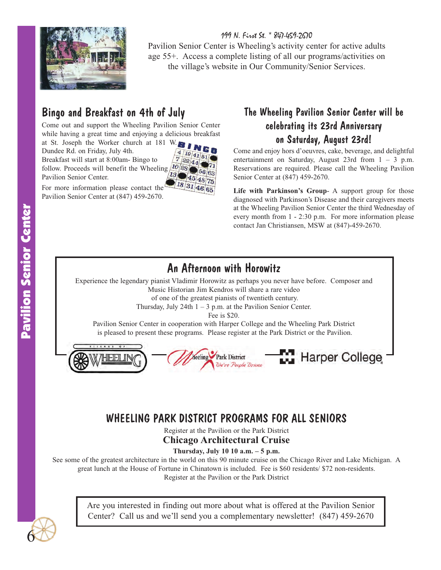

199 N. First St. \* 847-459-2670 Pavilion Senior Center is Wheeling's activity center for active adults age 55+. Access a complete listing of all our programs/activities on the village's website in Our Community/Senior Services.

# Bingo and Breakfast on 4th of July

Come out and support the Wheeling Pavilion Senior Center while having a great time and enjoying a delicious breakfast

at St. Joseph the Worker church at 181 W. Dundee Rd. on Friday, July 4th. Breakfast will start at 8:00am- Bingo to follow. Proceeds will benefit the Wheeling Pavilion Senior Center.



For more information please contact the Pavilion Senior Center at (847) 459-2670.

## The Wheeling Pavilion Senior Center will be celebrating its 23rd Anniversary on Saturday, August 23rd!

Come and enjoy hors d'oeuvres, cake, beverage, and delightful entertainment on Saturday, August 23rd from  $1 - 3$  p.m. Reservations are required. Please call the Wheeling Pavilion Senior Center at (847) 459-2670.

**Life with Parkinson's Group**- A support group for those diagnosed with Parkinson's Disease and their caregivers meets at the Wheeling Pavilion Senior Center the third Wednesday of every month from 1 - 2:30 p.m. For more information please contact Jan Christiansen, MSW at (847)-459-2670.

# An Afternoon with Horowitz

Experience the legendary pianist Vladimir Horowitz as perhaps you never have before. Composer and Music Historian Jim Kendros will share a rare video

of one of the greatest pianists of twentieth century.

Thursday, July 24th  $1 - 3$  p.m. at the Pavilion Senior Center.

Fee is \$20.

Pavilion Senior Center in cooperation with Harper College and the Wheeling Park District is pleased to present these programs. Please register at the Park District or the Pavilion.



# WHEELING PARK DISTRICT PROGRAMS FOR ALL SENIORS

Register at the Pavilion or the Park District **Chicago Architectural Cruise**

### **Thursday, July 10 10 a.m. – 5 p.m.**

See some of the greatest architecture in the world on this 90 minute cruise on the Chicago River and Lake Michigan. A great lunch at the House of Fortune in Chinatown is included. Fee is \$60 residents/ \$72 non-residents. Register at the Pavilion or the Park District



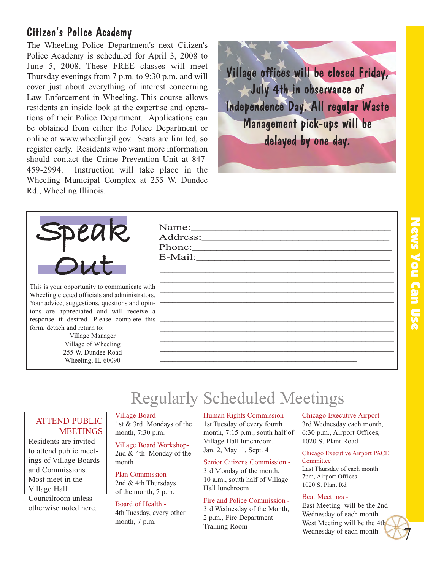# Citizen's Police Academy

The Wheeling Police Department's next Citizen's Police Academy is scheduled for April 3, 2008 to June 5, 2008. These FREE classes will meet Thursday evenings from 7 p.m. to 9:30 p.m. and will cover just about everything of interest concerning Law Enforcement in Wheeling. This course allows residents an inside look at the expertise and operations of their Police Department. Applications can be obtained from either the Police Department or online at www.wheelingil.gov. Seats are limited, so register early. Residents who want more information should contact the Crime Prevention Unit at 847- 459-2994. Instruction will take place in the Wheeling Municipal Complex at 255 W. Dundee Rd., Wheeling Illinois.





This is your opportunity to communicate with Wheeling elected officials and administrators. Your advice, suggestions, questions and opinions are appreciated and will receive a response if desired. Please complete this form, detach and return to:

> Village Manager Village of Wheeling 255 W. Dundee Road Wheeling, IL 60090

Name: Address: Phone:\_\_\_\_\_\_\_\_\_\_\_\_\_\_\_\_\_\_\_\_\_\_\_\_\_\_\_\_\_\_\_\_\_ E-Mail:

# Regularly Scheduled Meetings

### ATTEND PUBLIC **MEETINGS**

Residents are invited to attend public meetings of Village Boards and Commissions. Most meet in the Village Hall Councilroom unless otherwise noted here.

### Village Board - 1st & 3rd Mondays of the month, 7:30 p.m.

Village Board Workshop-2nd & 4th Monday of the month

Plan Commission - 2nd & 4th Thursdays of the month, 7 p.m.

### Board of Health -

4th Tuesday, every other month, 7 p.m.

### Human Rights Commission - 1st Tuesday of every fourth month, 7:15 p.m., south half of Village Hall lunchroom. Jan. 2, May 1, Sept. 4

\_\_\_\_\_\_\_\_\_\_\_\_\_\_\_\_\_\_\_\_\_\_\_\_\_\_\_\_\_\_\_\_\_\_\_\_\_\_\_\_\_\_\_\_\_\_\_\_

\_\_\_\_\_\_\_\_\_\_\_\_\_\_\_\_\_\_\_\_\_\_\_\_\_\_\_\_\_\_\_\_\_\_\_\_\_\_\_\_\_\_\_\_\_\_\_\_\_\_\_\_\_\_\_\_\_ \_\_\_\_\_\_\_\_\_\_\_\_\_\_\_\_\_\_\_\_\_\_\_\_\_\_\_\_\_\_\_\_\_\_\_\_\_\_\_\_\_\_\_\_\_\_\_\_\_\_\_\_\_\_\_\_\_ \_\_\_\_\_\_\_\_\_\_\_\_\_\_\_\_\_\_\_\_\_\_\_\_\_\_\_\_\_\_\_\_\_\_\_\_\_\_\_\_\_\_\_\_\_\_\_\_\_\_\_\_\_\_\_\_\_ \_\_\_\_\_\_\_\_\_\_\_\_\_\_\_\_\_\_\_\_\_\_\_\_\_\_\_\_\_\_\_\_\_\_\_\_\_\_\_\_\_\_\_\_\_\_\_\_\_\_\_\_\_\_\_\_\_ \_\_\_\_\_\_\_\_\_\_\_\_\_\_\_\_\_\_\_\_\_\_\_\_\_\_\_\_\_\_\_\_\_\_\_\_\_\_\_\_\_\_\_\_\_\_\_\_\_\_\_\_\_\_\_\_\_ \_\_\_\_\_\_\_\_\_\_\_\_\_\_\_\_\_\_\_\_\_\_\_\_\_\_\_\_\_\_\_\_\_\_\_\_\_\_\_\_\_\_\_\_\_\_\_\_\_\_\_\_\_\_\_\_\_ \_\_\_\_\_\_\_\_\_\_\_\_\_\_\_\_\_\_\_\_\_\_\_\_\_\_\_\_\_\_\_\_\_\_\_\_\_\_\_\_\_\_\_\_\_\_\_\_\_\_\_\_\_\_\_\_\_ \_\_\_\_\_\_\_\_\_\_\_\_\_\_\_\_\_\_\_\_\_\_\_\_\_\_\_\_\_\_\_\_\_\_\_\_\_\_\_\_\_\_\_\_\_\_\_\_\_\_\_\_\_\_\_\_\_ \_\_\_\_\_\_\_\_\_\_\_\_\_\_\_\_\_\_\_\_\_\_\_\_\_\_\_\_\_\_\_\_\_\_\_\_\_\_\_\_\_\_\_\_\_\_\_\_\_\_\_\_\_\_\_\_\_

> Senior Citizens Commission - 3rd Monday of the month, 10 a.m., south half of Village Hall lunchroom

Fire and Police Commission - 3rd Wednesday of the Month, 2 p.m., Fire Department Training Room

### Chicago Executive Airport-3rd Wednesday each month, 6:30 p.m., Airport Offices, 1020 S. Plant Road.

Chicago Executive Airport PACE **Committee** 

Last Thursday of each month 7pm, Airport Offices 1020 S. Plant Rd

### Beat Meetings -

East Meeting will be the 2nd Wednesday of each month. West Meeting will be the 4th Wednesday of each month.